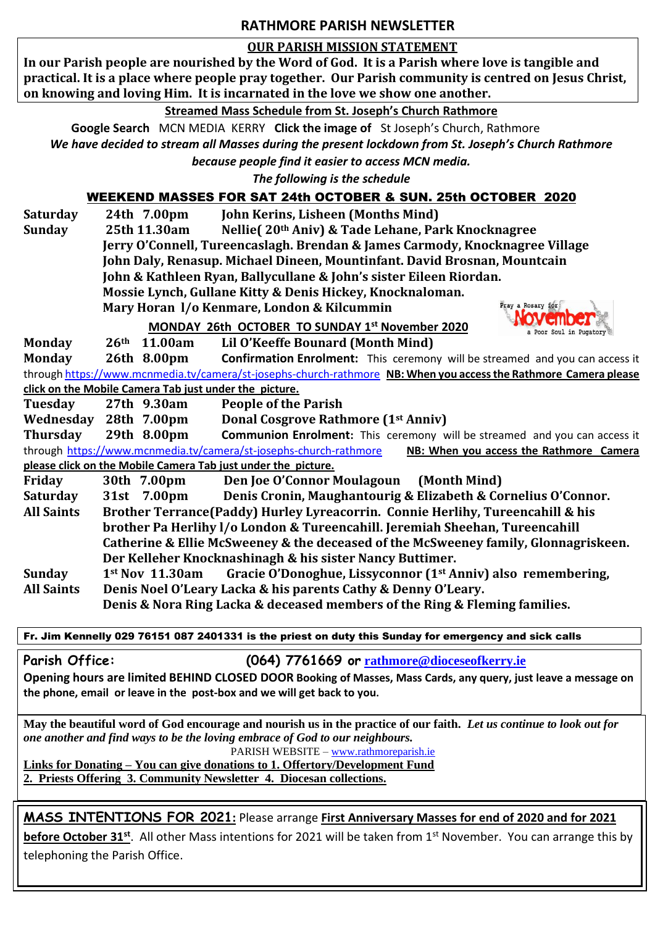### **RATHMORE PARISH NEWSLETTER**

#### **OUR PARISH MISSION STATEMENT**

**In our Parish people are nourished by the Word of God. It is a Parish where love is tangible and practical. It is a place where people pray together. Our Parish community is centred on Jesus Christ, on knowing and loving Him. It is incarnated in the love we show one another.**

#### **Streamed Mass Schedule from St. Joseph's Church Rathmore**

 **Google Search** MCN MEDIA KERRY **Click the image of** St Joseph's Church, Rathmore *We have decided to stream all Masses during the present lockdown from St. Joseph's Church Rathmore*

*because people find it easier to access MCN media.*

*The following is the schedule* 

## WEEKEND MASSES FOR SAT 24th OCTOBER & SUN. 25th OCTOBER 2020

**Saturday 24th 7.00pm John Kerins, Lisheen (Months Mind)**

**Sunday 25th 11.30am Nellie( 20th Aniv) & Tade Lehane, Park Knocknagree** 

**Jerry O'Connell, Tureencaslagh. Brendan & James Carmody, Knocknagree Village**

**John Daly, Renasup. Michael Dineen, Mountinfant. David Brosnan, Mountcain**

**John & Kathleen Ryan, Ballycullane & John's sister Eileen Riordan.** 

**Mossie Lynch, Gullane Kitty & Denis Hickey, Knocknaloman.** 

**Mary Horan l/o Kenmare, London & Kilcummin**



 **MONDAY 26th OCTOBER TO SUNDAY 1 st November 2020**

**Monday 26th 11.00am Lil O'Keeffe Bounard (Month Mind)**

**Monday 26th 8.00pm Confirmation Enrolment:** This ceremony will be streamed and you can access it throug[h https://www.mcnmedia.tv/camera/st-josephs-church-rathmore](https://www.mcnmedia.tv/camera/st-josephs-church-rathmore) **NB: When you access the Rathmore Camera please click on the Mobile Camera Tab just under the picture.**

**Tuesday 27th 9.30am People of the Parish**

**Wednesday 28th 7.00pm Donal Cosgrove Rathmore (1st Anniv)** 

**Thursday 29th 8.00pm Communion Enrolment:** This ceremony will be streamed and you can access it through<https://www.mcnmedia.tv/camera/st-josephs-church-rathmore>**NB: When you access the Rathmore Camera please click on the Mobile Camera Tab just under the picture.**

**Friday 30th 7.00pm Den Joe O'Connor Moulagoun (Month Mind) Saturday 31st 7.00pm Denis Cronin, Maughantourig & Elizabeth & Cornelius O'Connor. All Saints Brother Terrance(Paddy) Hurley Lyreacorrin. Connie Herlihy, Tureencahill & his brother Pa Herlihy l/o London & Tureencahill. Jeremiah Sheehan, Tureencahill Catherine & Ellie McSweeney & the deceased of the McSweeney family, Glonnagriskeen. Der Kelleher Knocknashinagh & his sister Nancy Buttimer. Sunday 1st Nov 11.30am Gracie O'Donoghue, Lissyconnor (1st Anniv) also remembering, All Saints Denis Noel O'Leary Lacka & his parents Cathy & Denny O'Leary.** 

**Denis & Nora Ring Lacka & deceased members of the Ring & Fleming families.** 

Fr. Jim Kennelly 029 76151 087 2401331 is the priest on duty this Sunday for emergency and sick calls

**Parish Office: (064) 7761669 or [rathmore@dioceseofkerry.ie](mailto:rathmore@dioceseofkerry.ie)** 

**Opening hours are limited BEHIND CLOSED DOOR Booking of Masses, Mass Cards, any query, just leave a message on the phone, email or leave in the post-box and we will get back to you.**

**May the beautiful word of God encourage and nourish us in the practice of our faith.** *Let us continue to look out for one another and find ways to be the loving embrace of God to our neighbours.* 

PARISH WEBSITE – [www.rathmoreparish.ie](http://www.rathmoreparish.ie/) **Links for Donating – You can give donations to 1. Offertory/Development Fund** 

**2. Priests Offering 3. Community Newsletter 4. Diocesan collections.** 

# **MASS INTENTIONS FOR 2021:** Please arrange **First Anniversary Masses for end of 2020 and for 2021**

**before October 31<sup>st</sup>.** All other Mass intentions for 2021 will be taken from 1<sup>st</sup> November. You can arrange this by telephoning the Parish Office.